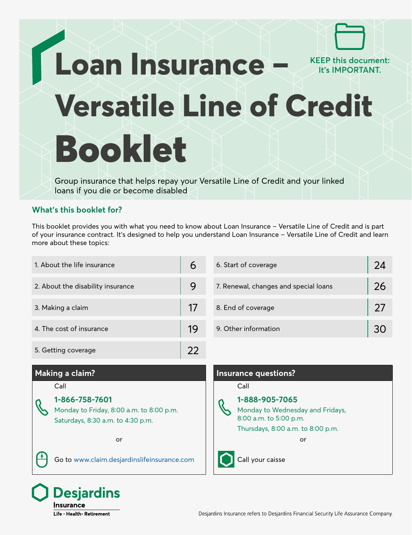# **Loan Insurance – Versatile Line of Credit** Booklet **KEEP this document: It's IMPORTANT.**

Group insurance that helps repay your Versatile Line of Credit and your linked loans if you die or become disabled

### **What's this booklet for?**

This booklet provides you with what you need to know about Loan Insurance – Versatile Line of Credit and is part of your insurance contract. It's designed to help you understand Loan Insurance – Versatile Line of Credit and learn more about these topics:

| 1. About the life insurance       | 6  | 6. Start of coverage                  | 24 |
|-----------------------------------|----|---------------------------------------|----|
| 2. About the disability insurance | 9  | 7. Renewal, changes and special loans | 26 |
| 3. Making a claim                 | 17 | 8. End of coverage                    | 27 |
| 4. The cost of insurance          | 19 | 9. Other information                  | 30 |
| 5. Getting coverage               | フフ |                                       |    |

### **Making a claim? Insurance questions?**

#### Call

**1-866-758-7601** Monday to Friday, 8:00 a.m. to 8:00 p.m. Saturdays, 8:30 a.m. to 4:30 p.m.

**Desjardins** 

Life · Health · Retirement

Insurance

Go to [www.claim.desjardinslifeinsurance.com](http://www.claim.desjardinslifeinsurance.com) Call your caisse

## Call

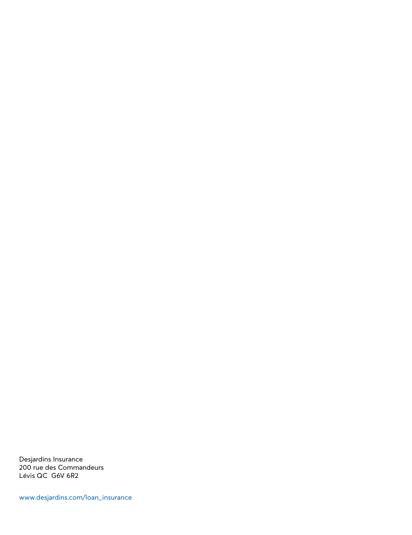Desjardins Insurance 200 rue des Commandeurs Lévis QC G6V 6R2

[www.desjardins.com/loan\\_insurance](http://www.desjardins.com/loan_insurance)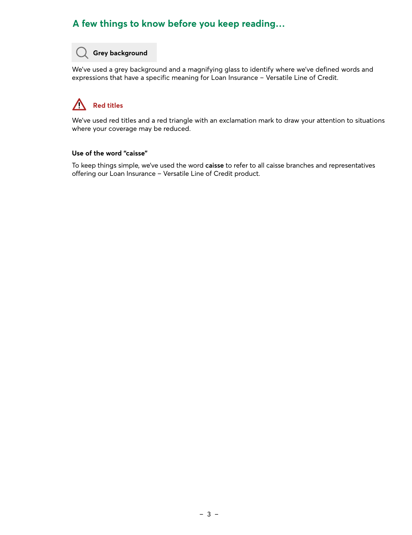### **A few things to know before you keep reading…**

### **Grey background**

We've used a grey background and a magnifying glass to identify where we've defined words and expressions that have a specific meaning for Loan Insurance – Versatile Line of Credit.

#### $\sqrt{2}$ **Red titles**

We've used red titles and a red triangle with an exclamation mark to draw your attention to situations where your coverage may be reduced.

#### **Use of the word "caisse"**

To keep things simple, we've used the word **caisse** to refer to all caisse branches and representatives offering our Loan Insurance – Versatile Line of Credit product.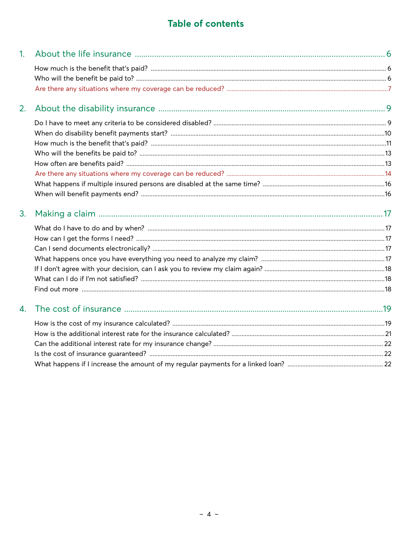### Table of contents

| 1 <sub>1</sub> |  |
|----------------|--|
|                |  |
|                |  |
|                |  |
| 2.             |  |
|                |  |
|                |  |
|                |  |
|                |  |
|                |  |
|                |  |
|                |  |
|                |  |
| 3.             |  |
|                |  |
|                |  |
|                |  |
|                |  |
|                |  |
|                |  |
|                |  |
| 4.             |  |
|                |  |
|                |  |
|                |  |
|                |  |
|                |  |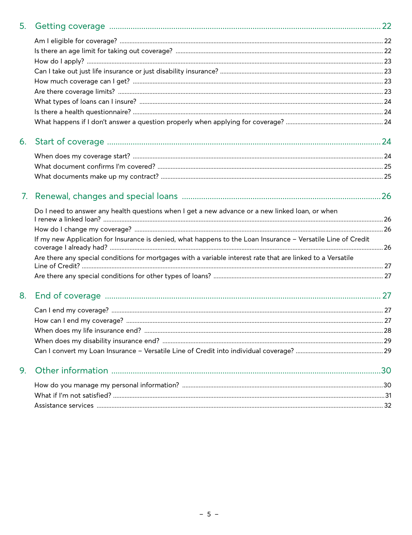| 5. |                                                                                                              |  |
|----|--------------------------------------------------------------------------------------------------------------|--|
|    |                                                                                                              |  |
|    |                                                                                                              |  |
|    |                                                                                                              |  |
|    |                                                                                                              |  |
|    |                                                                                                              |  |
|    |                                                                                                              |  |
|    |                                                                                                              |  |
|    |                                                                                                              |  |
|    |                                                                                                              |  |
| 6. |                                                                                                              |  |
|    |                                                                                                              |  |
|    |                                                                                                              |  |
|    |                                                                                                              |  |
| 7. |                                                                                                              |  |
|    | Do I need to answer any health questions when I get a new advance or a new linked loan, or when              |  |
|    |                                                                                                              |  |
|    | If my new Application for Insurance is denied, what happens to the Loan Insurance - Versatile Line of Credit |  |
|    | Are there any special conditions for mortgages with a variable interest rate that are linked to a Versatile  |  |
|    |                                                                                                              |  |
|    |                                                                                                              |  |
| 8. |                                                                                                              |  |
|    |                                                                                                              |  |
|    |                                                                                                              |  |
|    |                                                                                                              |  |
|    |                                                                                                              |  |
|    |                                                                                                              |  |
| 9. |                                                                                                              |  |
|    |                                                                                                              |  |
|    |                                                                                                              |  |
|    |                                                                                                              |  |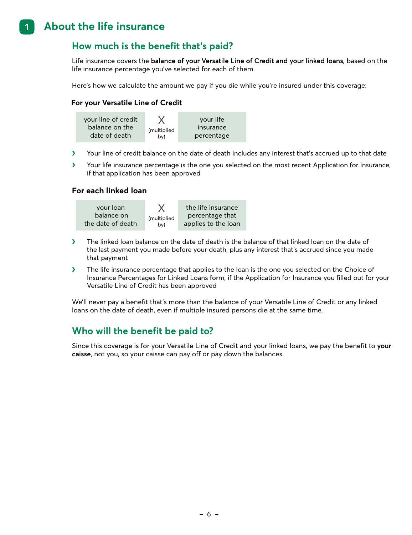#### <span id="page-5-0"></span>**1. About the life insurance 1**

### **How much is the benefit that's paid?**

Life insurance covers the **balance of your Versatile Line of Credit and your linked loans,** based on the life insurance percentage you've selected for each of them.

Here's how we calculate the amount we pay if you die while you're insured under this coverage:

#### **For your Versatile Line of Credit**



- � Your line of credit balance on the date of death includes any interest that's accrued up to that date
- � Your life insurance percentage is the one you selected on the most recent Application for Insurance, if that application has been approved

#### **For each linked loan**



- $\blacktriangleright$  The linked loan balance on the date of death is the balance of that linked loan on the date of the last payment you made before your death, plus any interest that's accrued since you made that payment
- $\blacktriangleright$  The life insurance percentage that applies to the loan is the one you selected on the Choice of Insurance Percentages for Linked Loans form, if the Application for Insurance you filled out for your Versatile Line of Credit has been approved

We'll never pay a benefit that's more than the balance of your Versatile Line of Credit or any linked loans on the date of death, even if multiple insured persons die at the same time.

### **Who will the benefit be paid to?**

Since this coverage is for your Versatile Line of Credit and your linked loans, we pay the benefit to **your caisse**, not you, so your caisse can pay off or pay down the balances.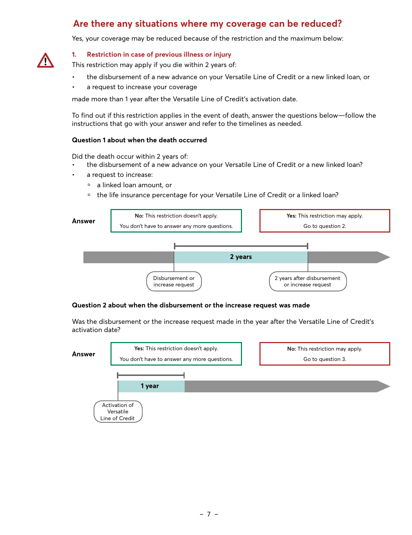### **Are there any situations where my coverage can be reduced?**

Yes, your coverage may be reduced because of the restriction and the maximum below:

<span id="page-6-0"></span>

#### **1. Restriction in case of previous illness or injury**

This restriction may apply if you die within 2 years of:

- the disbursement of a new advance on your Versatile Line of Credit or a new linked loan, or
- a request to increase your coverage

made more than 1 year after the Versatile Line of Credit's activation date.

To find out if this restriction applies in the event of death, answer the questions below—follow the instructions that go with your answer and refer to the timelines as needed.

#### **Question 1 about when the death occurred**

Did the death occur within 2 years of:

- the disbursement of a new advance on your Versatile Line of Credit or a new linked loan?
- a request to increase:
	- a linked loan amount, or
	- <sup>n</sup> the life insurance percentage for your Versatile Line of Credit or a linked loan?



#### **Question 2 about when the disbursement or the increase request was made**

Was the disbursement or the increase request made in the year after the Versatile Line of Credit's activation date?

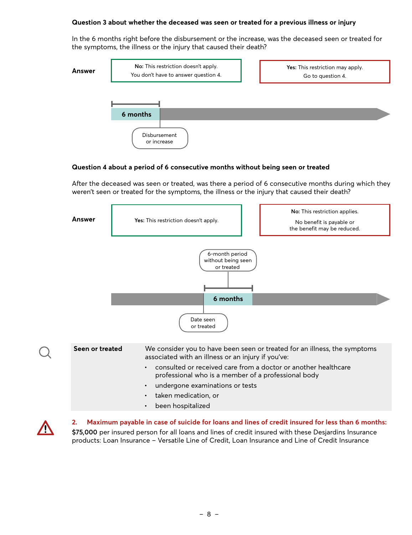#### **Question 3 about whether the deceased was seen or treated for a previous illness or injury**

In the 6 months right before the disbursement or the increase, was the deceased seen or treated for the symptoms, the illness or the injury that caused their death?



#### **Question 4 about a period of 6 consecutive months without being seen or treated**

After the deceased was seen or treated, was there a period of 6 consecutive months during which they weren't seen or treated for the symptoms, the illness or the injury that caused their death?





**2. Maximum payable in case of suicide for loans and lines of credit insured for less than 6 months: \$75,000** per insured person for all loans and lines of credit insured with these Desjardins Insurance products: Loan Insurance – Versatile Line of Credit, Loan Insurance and Line of Credit Insurance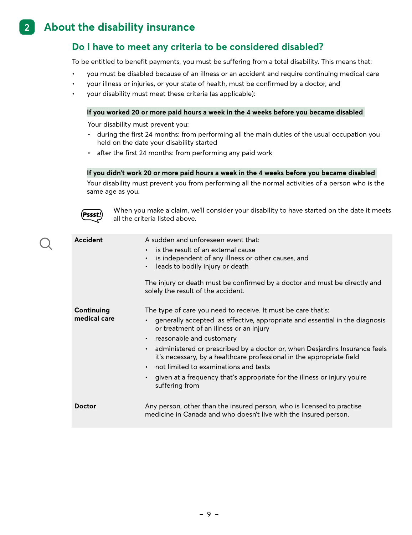#### <span id="page-8-0"></span>**2. About the disability insurance 2**

### **Do I have to meet any criteria to be considered disabled?**

To be entitled to benefit payments, you must be suffering from a total disability. This means that:

- you must be disabled because of an illness or an accident and require continuing medical care
- your illness or injuries, or your state of health, must be confirmed by a doctor, and
- your disability must meet these criteria (as applicable):

#### **If you worked 20 or more paid hours a week in the 4 weeks before you became disabled**

Your disability must prevent you:

- during the first 24 months: from performing all the main duties of the usual occupation you held on the date your disability started
- after the first 24 months: from performing any paid work

#### **If you didn't work 20 or more paid hours a week in the 4 weeks before you became disabled**

Your disability must prevent you from performing all the normal activities of a person who is the same age as you.



When you make a claim, we'll consider your disability to have started on the date it meets all the criteria listed above.

| <b>Accident</b>            | A sudden and unforeseen event that:<br>is the result of an external cause<br>is independent of any illness or other causes, and<br>leads to bodily injury or death<br>$\bullet$<br>The injury or death must be confirmed by a doctor and must be directly and<br>solely the result of the accident.                                                                                                                                                                                                                                                      |
|----------------------------|----------------------------------------------------------------------------------------------------------------------------------------------------------------------------------------------------------------------------------------------------------------------------------------------------------------------------------------------------------------------------------------------------------------------------------------------------------------------------------------------------------------------------------------------------------|
| Continuing<br>medical care | The type of care you need to receive. It must be care that's:<br>generally accepted as effective, appropriate and essential in the diagnosis<br>or treatment of an illness or an injury<br>reasonable and customary<br>$\bullet$<br>administered or prescribed by a doctor or, when Desjardins Insurance feels<br>it's necessary, by a healthcare professional in the appropriate field<br>not limited to examinations and tests<br>$\bullet$<br>given at a frequency that's appropriate for the illness or injury you're<br>$\bullet$<br>suffering from |
| <b>Doctor</b>              | Any person, other than the insured person, who is licensed to practise<br>medicine in Canada and who doesn't live with the insured person.                                                                                                                                                                                                                                                                                                                                                                                                               |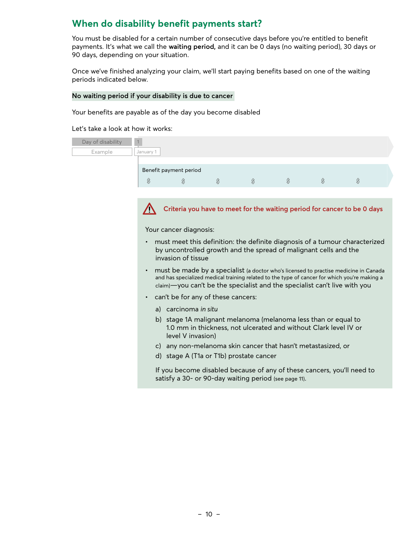### <span id="page-9-0"></span>**When do disability benefit payments start?**

You must be disabled for a certain number of consecutive days before you're entitled to benefit payments. It's what we call the **waiting period,** and it can be 0 days (no waiting period), 30 days or 90 days, depending on your situation.

Once we've finished analyzing your claim, we'll start paying benefits based on one of the waiting periods indicated below.

#### **No waiting period if your disability is due to cancer**

Your benefits are payable as of the day you become disabled

Let's take a look at how it works:

| Day of disability |           |                        |  |  |  |
|-------------------|-----------|------------------------|--|--|--|
| Example           | January 1 |                        |  |  |  |
|                   |           |                        |  |  |  |
|                   |           | Benefit payment period |  |  |  |
|                   | $\sim$    |                        |  |  |  |

 $\sqrt{N}$ 

**Criteria you have to meet for the waiting period for cancer to be 0 days**

Your cancer diagnosis:

- must meet this definition: the definite diagnosis of a tumour characterized by uncontrolled growth and the spread of malignant cells and the invasion of tissue
- must be made by a specialist (a doctor who's licensed to practise medicine in Canada and has specialized medical training related to the type of cancer for which you're making a claim)—you can't be the specialist and the specialist can't live with you
- can't be for any of these cancers:
	- a) carcinoma *in situ*
	- b) stage 1A malignant melanoma (melanoma less than or equal to 1.0 mm in thickness, not ulcerated and without Clark level IV or level V invasion)
	- c) any non-melanoma skin cancer that hasn't metastasized, or
	- d) stage A (T1a or T1b) prostate cancer

If you become disabled because of any of these cancers, you'll need to satisfy a 30- or 90-day waiting period (see page 11).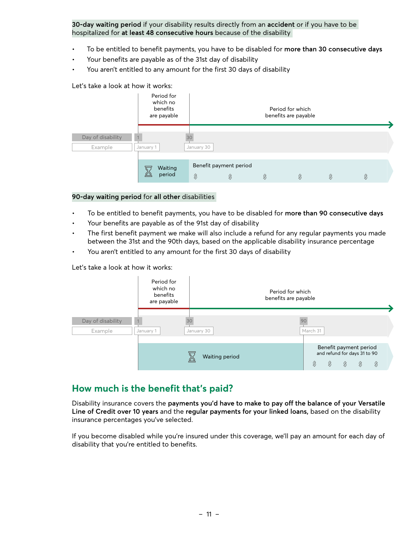<span id="page-10-0"></span>**30-day waiting period** if your disability results directly from an **accident** or if you have to be hospitalized for **at least 48 consecutive hours** because of the disability

- To be entitled to benefit payments, you have to be disabled for **more than 30 consecutive days**
- Your benefits are payable as of the 31st day of disability
- You aren't entitled to any amount for the first 30 days of disability

#### Let's take a look at how it works:

|                              | Period for<br>which no<br>benefits<br>are payable |                     |                                               | Period for which<br>benefits are payable |                     |
|------------------------------|---------------------------------------------------|---------------------|-----------------------------------------------|------------------------------------------|---------------------|
| Day of disability<br>Example | January 1                                         | 30<br>January 30    |                                               |                                          |                     |
|                              | Waiting<br>period                                 | $\hat{\mathcal{S}}$ | Benefit payment period<br>$\hat{\mathcal{S}}$ | \$<br>$\hat{\mathcal{S}}$                | \$<br>$\mathcal{S}$ |

#### **90-day waiting period** for **all other** disabilities

- To be entitled to benefit payments, you have to be disabled for **more than 90 consecutive days**
- Your benefits are payable as of the 91st day of disability
- The first benefit payment we make will also include a refund for any regular payments you made between the 31st and the 90th days, based on the applicable disability insurance percentage
- You aren't entitled to any amount for the first 30 days of disability

Let's take a look at how it works:

|                              | Period for<br>which no<br>benefits<br>are payable | Period for which<br>benefits are payable |                                                                                     |
|------------------------------|---------------------------------------------------|------------------------------------------|-------------------------------------------------------------------------------------|
| Day of disability<br>Example | 30<br>January 1                                   | January 30                               | March 31                                                                            |
|                              |                                                   | Waiting period                           | Benefit payment period<br>and refund for days 31 to 90<br>\$<br>\$<br>S<br>\$<br>\$ |

### **How much is the benefit that's paid?**

Disability insurance covers the **payments you'd have to make to pay off the balance of your Versatile Line of Credit over 10 years** and the **regular payments for your linked loans,** based on the disability insurance percentages you've selected.

If you become disabled while you're insured under this coverage, we'll pay an amount for each day of disability that you're entitled to benefits.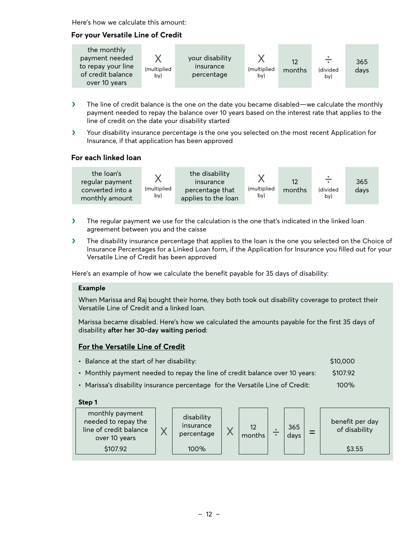Here's how we calculate this amount:

#### **For your Versatile Line of Credit**

- � The line of credit balance is the one on the date you became disabled—we calculate the monthly payment needed to repay the balance over 10 years based on the interest rate that applies to the line of credit on the date your disability started
- � Your disability insurance percentage is the one you selected on the most recent Application for Insurance, if that application has been approved

#### **For each linked loan**



- $\blacktriangleright$  The regular payment we use for the calculation is the one that's indicated in the linked loan agreement between you and the caisse
- $\blacktriangleright$  The disability insurance percentage that applies to the loan is the one you selected on the Choice of Insurance Percentages for a Linked Loan form, if the Application for Insurance you filled out for your Versatile Line of Credit has been approved

Here's an example of how we calculate the benefit payable for 35 days of disability:

#### **Example**

When Marissa and Raj bought their home, they both took out disability coverage to protect their Versatile Line of Credit and a linked loan.

Marissa became disabled. Here's how we calculated the amounts payable for the first 35 days of disability **after her 30-day waiting period**:

#### **For the Versatile Line of Credit**

- Balance at the start of her disability:  $\blacksquare$  \$10,000 \$10,000
- Monthly payment needed to repay the line of credit balance over 10 years: \$107.92
- Marissa's disability insurance percentage for the Versatile Line of Credit: 100%

#### **Step 1**

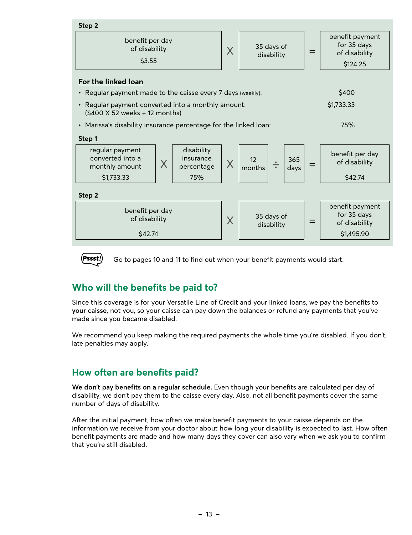<span id="page-12-0"></span>



Go to pages 10 and 11 to find out when your benefit payments would start.

### **Who will the benefits be paid to?**

Since this coverage is for your Versatile Line of Credit and your linked loans, we pay the benefits to **your caisse,** not you, so your caisse can pay down the balances or refund any payments that you've made since you became disabled.

We recommend you keep making the required payments the whole time you're disabled. If you don't, late penalties may apply.

### **How often are benefits paid?**

**We don't pay benefits on a regular schedule.** Even though your benefits are calculated per day of disability, we don't pay them to the caisse every day. Also, not all benefit payments cover the same number of days of disability.

After the initial payment, how often we make benefit payments to your caisse depends on the information we receive from your doctor about how long your disability is expected to last. How often benefit payments are made and how many days they cover can also vary when we ask you to confirm that you're still disabled.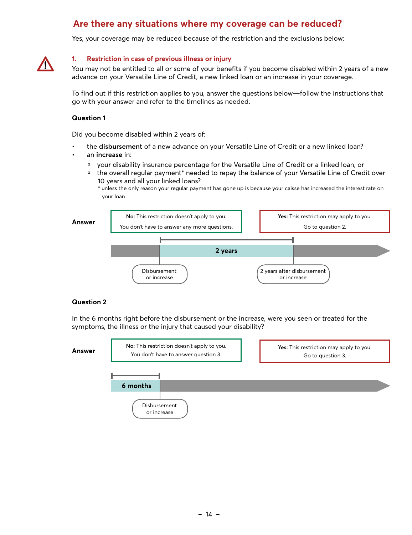### **Are there any situations where my coverage can be reduced?**

Yes, your coverage may be reduced because of the restriction and the exclusions below:

<span id="page-13-0"></span>

#### **1. Restriction in case of previous illness or injury**

You may not be entitled to all or some of your benefits if you become disabled within 2 years of a new advance on your Versatile Line of Credit, a new linked loan or an increase in your coverage.

To find out if this restriction applies to you, answer the questions below—follow the instructions that go with your answer and refer to the timelines as needed.

#### **Question 1**

Did you become disabled within 2 years of:

- the **disbursement** of a new advance on your Versatile Line of Credit or a new linked loan?
- an **increase** in:
	- your disability insurance percentage for the Versatile Line of Credit or a linked loan, or
	- the overall regular payment\* needed to repay the balance of your Versatile Line of Credit over 10 years and all your linked loans?
		- \* unless the only reason your regular payment has gone up is because your caisse has increased the interest rate on your loan



#### **Question 2**

In the 6 months right before the disbursement or the increase, were you seen or treated for the symptoms, the illness or the injury that caused your disability?

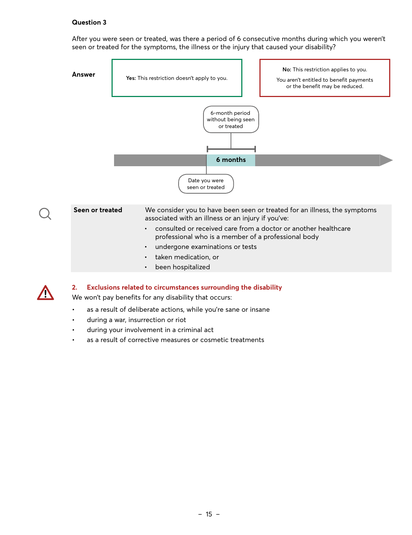#### **Question 3**

After you were seen or treated, was there a period of 6 consecutive months during which you weren't seen or treated for the symptoms, the illness or the injury that caused your disability?





#### **2. Exclusions related to circumstances surrounding the disability**

We won't pay benefits for any disability that occurs:

- as a result of deliberate actions, while you're sane or insane
- during a war, insurrection or riot
- during your involvement in a criminal act
- as a result of corrective measures or cosmetic treatments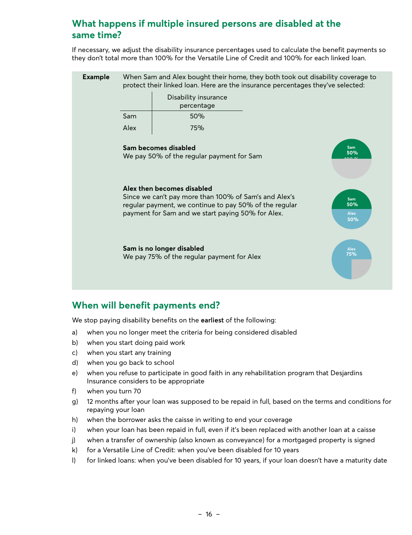### <span id="page-15-0"></span>**What happens if multiple insured persons are disabled at the same time?**

If necessary, we adjust the disability insurance percentages used to calculate the benefit payments so they don't total more than 100% for the Versatile Line of Credit and 100% for each linked loan.

| <b>Example</b> | When Sam and Alex bought their home, they both took out disability coverage to<br>protect their linked loan. Here are the insurance percentages they've selected: |                                                                                                                                                                                                    |  |                                  |  |  |
|----------------|-------------------------------------------------------------------------------------------------------------------------------------------------------------------|----------------------------------------------------------------------------------------------------------------------------------------------------------------------------------------------------|--|----------------------------------|--|--|
|                | Disability insurance<br>percentage                                                                                                                                |                                                                                                                                                                                                    |  |                                  |  |  |
|                | Sam                                                                                                                                                               | 50%                                                                                                                                                                                                |  |                                  |  |  |
|                | Alex                                                                                                                                                              | 75%                                                                                                                                                                                                |  |                                  |  |  |
|                |                                                                                                                                                                   | Sam becomes disabled<br>We pay 50% of the regular payment for Sam                                                                                                                                  |  | <b>Sam</b><br>50%                |  |  |
|                |                                                                                                                                                                   | Alex then becomes disabled<br>Since we can't pay more than 100% of Sam's and Alex's<br>regular payment, we continue to pay 50% of the regular<br>payment for Sam and we start paying 50% for Alex. |  | Sam<br>50%<br><b>Alex</b><br>50% |  |  |
|                |                                                                                                                                                                   | Sam is no longer disabled<br>We pay 75% of the regular payment for Alex                                                                                                                            |  | <b>Alex</b><br>75%               |  |  |
|                |                                                                                                                                                                   |                                                                                                                                                                                                    |  |                                  |  |  |

### **When will benefit payments end?**

We stop paying disability benefits on the **earliest** of the following:

- a) when you no longer meet the criteria for being considered disabled
- b) when you start doing paid work
- c) when you start any training
- d) when you go back to school
- e) when you refuse to participate in good faith in any rehabilitation program that Desjardins Insurance considers to be appropriate
- f) when you turn 70
- g) 12 months after your loan was supposed to be repaid in full, based on the terms and conditions for repaying your loan
- h) when the borrower asks the caisse in writing to end your coverage
- i) when your loan has been repaid in full, even if it's been replaced with another loan at a caisse
- j) when a transfer of ownership (also known as conveyance) for a mortgaged property is signed
- k) for a Versatile Line of Credit: when you've been disabled for 10 years
- l) for linked loans: when you've been disabled for 10 years, if your loan doesn't have a maturity date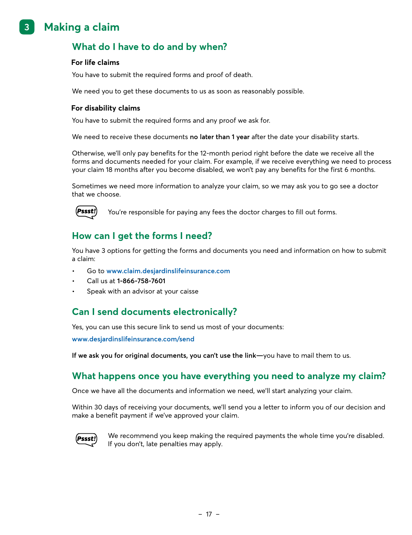#### <span id="page-16-0"></span>**3. Making a claim 3**

### **What do I have to do and by when?**

#### **For life claims**

You have to submit the required forms and proof of death.

We need you to get these documents to us as soon as reasonably possible.

#### **For disability claims**

You have to submit the required forms and any proof we ask for.

We need to receive these documents **no later than 1 year** after the date your disability starts.

Otherwise, we'll only pay benefits for the 12-month period right before the date we receive all the forms and documents needed for your claim. For example, if we receive everything we need to process your claim 18 months after you become disabled, we won't pay any benefits for the first 6 months.

Sometimes we need more information to analyze your claim, so we may ask you to go see a doctor that we choose.



You're responsible for paying any fees the doctor charges to fill out forms.

### **How can I get the forms I need?**

You have 3 options for getting the forms and documents you need and information on how to submit a claim:

- Go to **[www.claim.desjardinslifeinsurance.com](http://www.claim.desjardinslifeinsurance.com)**
- Call us at **1-866-758-7601**
- Speak with an advisor at your caisse

### **Can I send documents electronically?**

Yes, you can use this secure link to send us most of your documents:

**[www.desjardinslifeinsurance.com/send](http://www.desjardinslifeinsurance.com/send)**

**If we ask you for original documents, you can't use the link—**you have to mail them to us.

### **What happens once you have everything you need to analyze my claim?**

Once we have all the documents and information we need, we'll start analyzing your claim.

Within 30 days of receiving your documents, we'll send you a letter to inform you of our decision and make a benefit payment if we've approved your claim.



We recommend you keep making the required payments the whole time you're disabled. If you don't, late penalties may apply.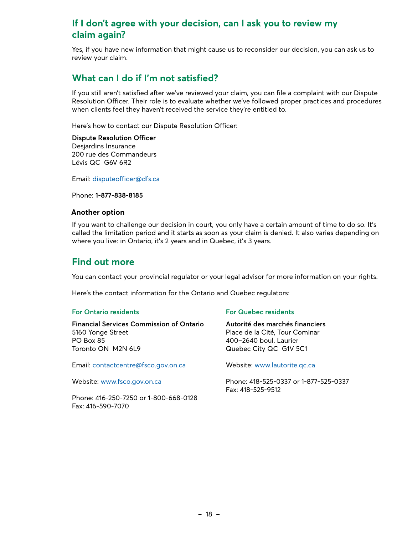### <span id="page-17-0"></span>**If I don't agree with your decision, can I ask you to review my claim again?**

Yes, if you have new information that might cause us to reconsider our decision, you can ask us to review your claim.

### **What can I do if I'm not satisfied?**

If you still aren't satisfied after we've reviewed your claim, you can file a complaint with our Dispute Resolution Officer. Their role is to evaluate whether we've followed proper practices and procedures when clients feel they haven't received the service they're entitled to.

Here's how to contact our Dispute Resolution Officer:

#### **Dispute Resolution Officer**

Desjardins Insurance 200 rue des Commandeurs Lévis QC G6V 6R2

Email: [disputeofficer@dfs.ca](mailto:disputeofficer@dfs.ca)

Phone: **1-877-838-8185**

#### **Another option**

If you want to challenge our decision in court, you only have a certain amount of time to do so. It's called the limitation period and it starts as soon as your claim is denied. It also varies depending on where you live: in Ontario, it's 2 years and in Quebec, it's 3 years.

### **Find out more**

You can contact your provincial regulator or your legal advisor for more information on your rights.

Here's the contact information for the Ontario and Quebec regulators:

#### **For Ontario residents**

**Financial Services Commission of Ontario**  5160 Yonge Street PO Box 85 Toronto ON M2N 6L9

Email: [contactcentre@fsco.gov.on.ca](mailto:contactcentre@fsco.gov.on.ca)

Website: [www.fsco.gov.on.ca](http://www.fsco.gov.on.ca)

Phone: 416-250-7250 or 1-800-668-0128 Fax: 416-590-7070

#### **For Quebec residents**

**Autorité des marchés financiers**  Place de la Cité, Tour Cominar 400–2640 boul. Laurier Quebec City QC G1V 5C1

Website: [www.lautorite.qc.ca](http://www.lautorite.qc.ca)

Phone: 418-525-0337 or 1-877-525-0337 Fax: 418-525-9512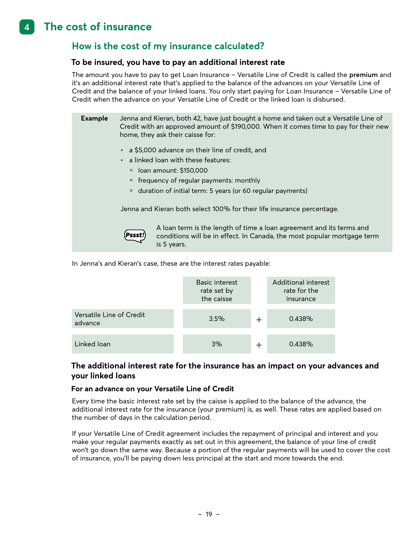#### <span id="page-18-0"></span>**4. The cost of insurance 4**

### **How is the cost of my insurance calculated?**

#### **To be insured, you have to pay an additional interest rate**

The amount you have to pay to get Loan Insurance – Versatile Line of Credit is called the **premium** and it's an additional interest rate that's applied to the balance of the advances on your Versatile Line of Credit and the balance of your linked loans. You only start paying for Loan Insurance – Versatile Line of Credit when the advance on your Versatile Line of Credit or the linked loan is disbursed.

| <b>Example</b> | Jenna and Kieran, both 42, have just bought a home and taken out a Versatile Line of<br>Credit with an approved amount of \$190,000. When it comes time to pay for their new<br>home, they ask their caisse for: |
|----------------|------------------------------------------------------------------------------------------------------------------------------------------------------------------------------------------------------------------|
|                | • a \$5,000 advance on their line of credit, and                                                                                                                                                                 |
|                | • a linked loan with these features:                                                                                                                                                                             |
|                | □ loan amount: \$150,000                                                                                                                                                                                         |
|                | □ frequency of regular payments: monthly                                                                                                                                                                         |
|                | <sup>n</sup> duration of initial term: 5 years (or 60 regular payments)                                                                                                                                          |
|                | Jenna and Kieran both select 100% for their life insurance percentage.                                                                                                                                           |
|                | A loan term is the length of time a loan agreement and its terms and                                                                                                                                             |



A loan term is the length of time a loan agreement and its terms and conditions will be in effect. In Canada, the most popular mortgage term is 5 years.

In Jenna's and Kieran's case, these are the interest rates payable:

|                                     | Basic interest<br>rate set by<br>the caisse | Additional interest<br>rate for the<br>insurance |
|-------------------------------------|---------------------------------------------|--------------------------------------------------|
| Versatile Line of Credit<br>advance | 3.5%                                        | 0.438%                                           |
| Linked loan                         | 3%                                          | 0.438%                                           |

#### **The additional interest rate for the insurance has an impact on your advances and your linked loans**

#### **For an advance on your Versatile Line of Credit**

Every time the basic interest rate set by the caisse is applied to the balance of the advance, the additional interest rate for the insurance (your premium) is, as well. These rates are applied based on the number of days in the calculation period.

If your Versatile Line of Credit agreement includes the repayment of principal and interest and you make your regular payments exactly as set out in this agreement, the balance of your line of credit won't go down the same way. Because a portion of the regular payments will be used to cover the cost of insurance, you'll be paying down less principal at the start and more towards the end.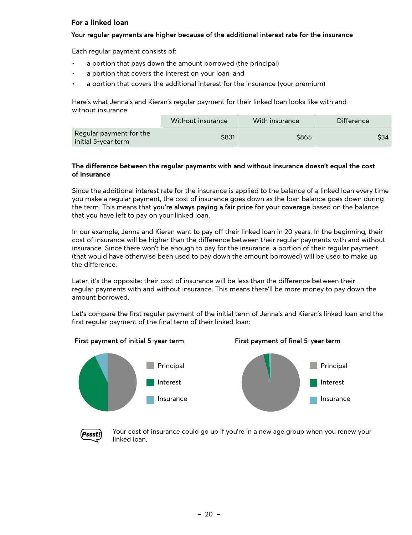#### **For a linked loan**

#### **Your regular payments are higher because of the additional interest rate for the insurance**

Each regular payment consists of:

- a portion that pays down the amount borrowed (the principal)
- a portion that covers the interest on your loan, and
- a portion that covers the additional interest for the insurance (your premium)

Here's what Jenna's and Kieran's regular payment for their linked loan looks like with and without insurance:

|                                                | Without insurance | With insurance | Difference |
|------------------------------------------------|-------------------|----------------|------------|
| Regular payment for the<br>initial 5-year term | \$831             | \$865          | \$34       |

#### **The difference between the regular payments with and without insurance doesn't equal the cost of insurance**

Since the additional interest rate for the insurance is applied to the balance of a linked loan every time you make a regular payment, the cost of insurance goes down as the loan balance goes down during the term. This means that **you're always paying a fair price for your coverage** based on the balance that you have left to pay on your linked loan.

In our example, Jenna and Kieran want to pay off their linked loan in 20 years. In the beginning, their cost of insurance will be higher than the difference between their regular payments with and without insurance. Since there won't be enough to pay for the insurance, a portion of their regular payment (that would have otherwise been used to pay down the amount borrowed) will be used to make up the difference.

Later, it's the opposite: their cost of insurance will be less than the difference between their regular payments with and without insurance. This means there'll be more money to pay down the amount borrowed.

Let's compare the first regular payment of the initial term of Jenna's and Kieran's linked loan and the first regular payment of the final term of their linked loan:

#### **First payment of initial 5-year term First payment of final 5-year term**







Your cost of insurance could go up if you're in a new age group when you renew your linked loan.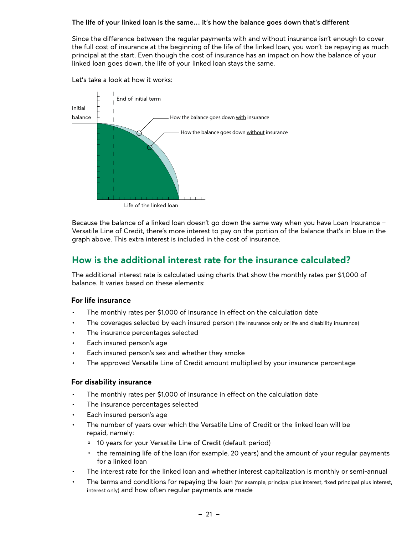#### <span id="page-20-0"></span>**The life of your linked loan is the same… it's how the balance goes down that's different**

Since the difference between the regular payments with and without insurance isn't enough to cover the full cost of insurance at the beginning of the life of the linked loan, you won't be repaying as much principal at the start. Even though the cost of insurance has an impact on how the balance of your linked loan goes down, the life of your linked loan stays the same.



Life of the linked loan

Because the balance of a linked loan doesn't go down the same way when you have Loan Insurance – Versatile Line of Credit, there's more interest to pay on the portion of the balance that's in blue in the graph above. This extra interest is included in the cost of insurance.

### **How is the additional interest rate for the insurance calculated?**

The additional interest rate is calculated using charts that show the monthly rates per \$1,000 of balance. It varies based on these elements:

#### **For life insurance**

- The monthly rates per \$1,000 of insurance in effect on the calculation date
- The coverages selected by each insured person (life insurance only or life and disability insurance)
- The insurance percentages selected
- Each insured person's age

Let's take a look at how it works:

- Each insured person's sex and whether they smoke
- The approved Versatile Line of Credit amount multiplied by your insurance percentage

#### **For disability insurance**

- The monthly rates per \$1,000 of insurance in effect on the calculation date
- The insurance percentages selected
- Each insured person's age
- The number of years over which the Versatile Line of Credit or the linked loan will be repaid, namely:
	- <sup>0</sup> 10 years for your Versatile Line of Credit (default period)
	- <sup>n</sup> the remaining life of the loan (for example, 20 years) and the amount of your regular payments for a linked loan
- The interest rate for the linked loan and whether interest capitalization is monthly or semi-annual
- The terms and conditions for repaying the loan (for example, principal plus interest, fixed principal plus interest, interest only) and how often regular payments are made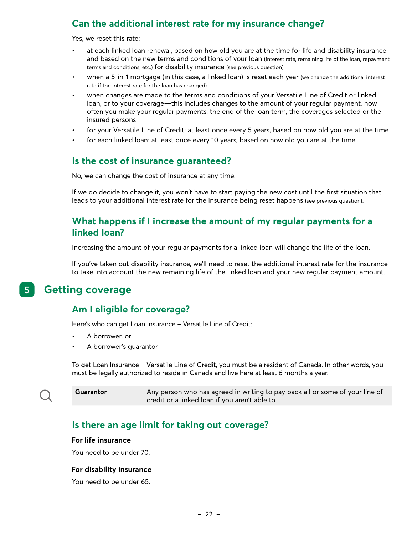### <span id="page-21-0"></span>**Can the additional interest rate for my insurance change?**

Yes, we reset this rate:

- at each linked loan renewal, based on how old you are at the time for life and disability insurance and based on the new terms and conditions of your loan (interest rate, remaining life of the loan, repayment terms and conditions, etc.) for disability insurance (see previous question)
- when a 5-in-1 mortgage (in this case, a linked loan) is reset each year (we change the additional interest rate if the interest rate for the loan has changed)
- when changes are made to the terms and conditions of your Versatile Line of Credit or linked loan, or to your coverage—this includes changes to the amount of your regular payment, how often you make your regular payments, the end of the loan term, the coverages selected or the insured persons
- for your Versatile Line of Credit: at least once every 5 years, based on how old you are at the time
- for each linked loan: at least once every 10 years, based on how old you are at the time

### **Is the cost of insurance guaranteed?**

No, we can change the cost of insurance at any time.

If we do decide to change it, you won't have to start paying the new cost until the first situation that leads to your additional interest rate for the insurance being reset happens (see previous question).

### **What happens if I increase the amount of my regular payments for a linked loan?**

Increasing the amount of your regular payments for a linked loan will change the life of the loan.

If you've taken out disability insurance, we'll need to reset the additional interest rate for the insurance to take into account the new remaining life of the linked loan and your new regular payment amount.

#### **5. Getting coverage 5**

### **Am I eligible for coverage?**

Here's who can get Loan Insurance – Versatile Line of Credit:

- A borrower, or
- A borrower's guarantor

To get Loan Insurance – Versatile Line of Credit, you must be a resident of Canada. In other words, you must be legally authorized to reside in Canada and live here at least 6 months a year.

**Guarantor** Any person who has agreed in writing to pay back all or some of your line of credit or a linked loan if you aren't able to

### **Is there an age limit for taking out coverage?**

#### **For life insurance**

You need to be under 70.

#### **For disability insurance**

You need to be under 65.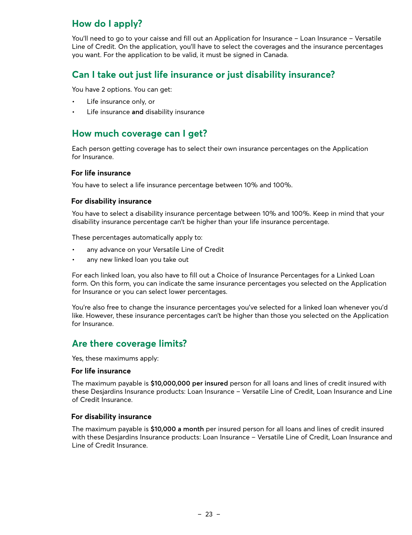### <span id="page-22-0"></span>**How do I apply?**

You'll need to go to your caisse and fill out an Application for Insurance – Loan Insurance – Versatile Line of Credit. On the application, you'll have to select the coverages and the insurance percentages you want. For the application to be valid, it must be signed in Canada.

### **Can I take out just life insurance or just disability insurance?**

You have 2 options. You can get:

- Life insurance only, or
- Life insurance **and** disability insurance

### **How much coverage can I get?**

Each person getting coverage has to select their own insurance percentages on the Application for Insurance.

#### **For life insurance**

You have to select a life insurance percentage between 10% and 100%.

#### **For disability insurance**

You have to select a disability insurance percentage between 10% and 100%. Keep in mind that your disability insurance percentage can't be higher than your life insurance percentage.

These percentages automatically apply to:

- any advance on your Versatile Line of Credit
- any new linked loan you take out

For each linked loan, you also have to fill out a Choice of Insurance Percentages for a Linked Loan form. On this form, you can indicate the same insurance percentages you selected on the Application for Insurance or you can select lower percentages.

You're also free to change the insurance percentages you've selected for a linked loan whenever you'd like. However, these insurance percentages can't be higher than those you selected on the Application for Insurance.

### **Are there coverage limits?**

Yes, these maximums apply:

#### **For life insurance**

The maximum payable is **\$10,000,000 per insured** person for all loans and lines of credit insured with these Desjardins Insurance products: Loan Insurance – Versatile Line of Credit, Loan Insurance and Line of Credit Insurance.

#### **For disability insurance**

The maximum payable is **\$10,000 a month** per insured person for all loans and lines of credit insured with these Desjardins Insurance products: Loan Insurance – Versatile Line of Credit, Loan Insurance and Line of Credit Insurance.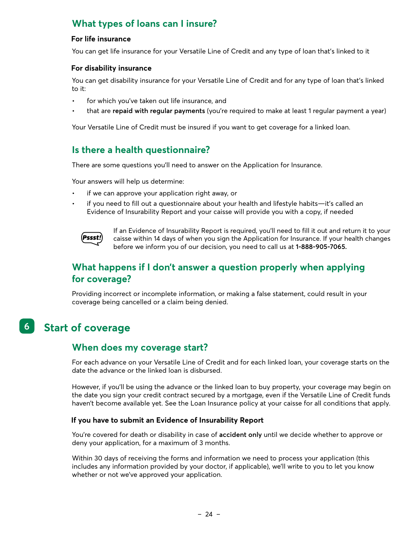### <span id="page-23-0"></span>**What types of loans can I insure?**

#### **For life insurance**

You can get life insurance for your Versatile Line of Credit and any type of loan that's linked to it

#### **For disability insurance**

You can get disability insurance for your Versatile Line of Credit and for any type of loan that's linked to it:

- for which you've taken out life insurance, and
- that are **repaid with regular payments** (you're required to make at least 1 regular payment a year)

Your Versatile Line of Credit must be insured if you want to get coverage for a linked loan.

### **Is there a health questionnaire?**

There are some questions you'll need to answer on the Application for Insurance.

Your answers will help us determine:

- if we can approve your application right away, or
- if you need to fill out a questionnaire about your health and lifestyle habits—it's called an Evidence of Insurability Report and your caisse will provide you with a copy, if needed

(Pssst!

If an Evidence of Insurability Report is required, you'll need to fill it out and return it to your caisse within 14 days of when you sign the Application for Insurance. If your health changes before we inform you of our decision, you need to call us at **1-888-905-7065.**

### **What happens if I don't answer a question properly when applying for coverage?**

Providing incorrect or incomplete information, or making a false statement, could result in your coverage being cancelled or a claim being denied.

#### **6. Start of coverage 6**

### **When does my coverage start?**

For each advance on your Versatile Line of Credit and for each linked loan, your coverage starts on the date the advance or the linked loan is disbursed.

However, if you'll be using the advance or the linked loan to buy property, your coverage may begin on the date you sign your credit contract secured by a mortgage, even if the Versatile Line of Credit funds haven't become available yet. See the Loan Insurance policy at your caisse for all conditions that apply.

#### **If you have to submit an Evidence of Insurability Report**

You're covered for death or disability in case of **accident only** until we decide whether to approve or deny your application, for a maximum of 3 months.

Within 30 days of receiving the forms and information we need to process your application (this includes any information provided by your doctor, if applicable), we'll write to you to let you know whether or not we've approved your application.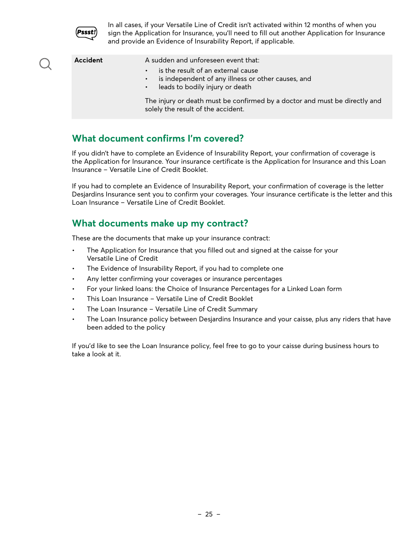<span id="page-24-0"></span>

In all cases, if your Versatile Line of Credit isn't activated within 12 months of when you sign the Application for Insurance, you'll need to fill out another Application for Insurance and provide an Evidence of Insurability Report, if applicable.

| Accident | A sudden and unforeseen event that:<br>is the result of an external cause<br>$\bullet$<br>is independent of any illness or other causes, and<br>$\bullet$ .<br>• leads to bodily injury or death<br>The injury or death must be confirmed by a doctor and must be directly and<br>solely the result of the accident. |
|----------|----------------------------------------------------------------------------------------------------------------------------------------------------------------------------------------------------------------------------------------------------------------------------------------------------------------------|
|          |                                                                                                                                                                                                                                                                                                                      |

### **What document confirms I'm covered?**

If you didn't have to complete an Evidence of Insurability Report, your confirmation of coverage is the Application for Insurance. Your insurance certificate is the Application for Insurance and this Loan Insurance – Versatile Line of Credit Booklet.

If you had to complete an Evidence of Insurability Report, your confirmation of coverage is the letter Desjardins Insurance sent you to confirm your coverages. Your insurance certificate is the letter and this Loan Insurance – Versatile Line of Credit Booklet.

### **What documents make up my contract?**

These are the documents that make up your insurance contract:

- The Application for Insurance that you filled out and signed at the caisse for your Versatile Line of Credit
- The Evidence of Insurability Report, if you had to complete one
- Any letter confirming your coverages or insurance percentages
- For your linked loans: the Choice of Insurance Percentages for a Linked Loan form
- This Loan Insurance Versatile Line of Credit Booklet
- The Loan Insurance Versatile Line of Credit Summary
- The Loan Insurance policy between Desjardins Insurance and your caisse, plus any riders that have been added to the policy

If you'd like to see the Loan Insurance policy, feel free to go to your caisse during business hours to take a look at it.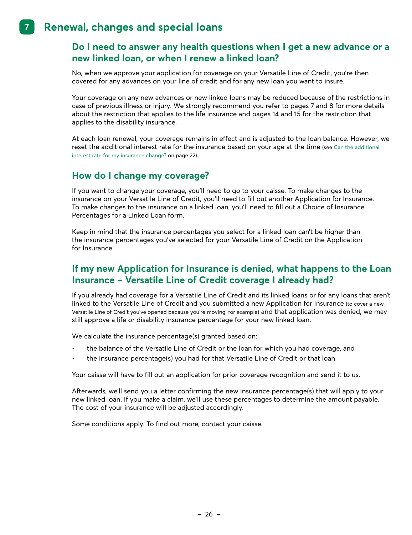#### <span id="page-25-0"></span> **7. Renewal, changes and special loans 7**

### **Do I need to answer any health questions when I get a new advance or a new linked loan, or when I renew a linked loan?**

No, when we approve your application for coverage on your Versatile Line of Credit, you're then covered for any advances on your line of credit and for any new loan you want to insure.

Your coverage on any new advances or new linked loans may be reduced because of the restrictions in case of previous illness or injury. We strongly recommend you refer to pages 7 and 8 for more details about the restriction that applies to the life insurance and pages 14 and 15 for the restriction that applies to the disability insurance.

At each loan renewal, your coverage remains in effect and is adjusted to the loan balance. However, we reset the additional interest rate for the insurance based on your age at the time (see Can the additional interest rate for my insurance change? on page 22).

### **How do I change my coverage?**

If you want to change your coverage, you'll need to go to your caisse. To make changes to the insurance on your Versatile Line of Credit, you'll need to fill out another Application for Insurance. To make changes to the insurance on a linked loan, you'll need to fill out a Choice of Insurance Percentages for a Linked Loan form.

Keep in mind that the insurance percentages you select for a linked loan can't be higher than the insurance percentages you've selected for your Versatile Line of Credit on the Application for Insurance.

### **If my new Application for Insurance is denied, what happens to the Loan Insurance – Versatile Line of Credit coverage I already had?**

If you already had coverage for a Versatile Line of Credit and its linked loans or for any loans that aren't linked to the Versatile Line of Credit and you submitted a new Application for Insurance (to cover a new Versatile Line of Credit you've opened because you're moving, for example) and that application was denied, we may still approve a life or disability insurance percentage for your new linked loan.

We calculate the insurance percentage(s) granted based on:

- the balance of the Versatile Line of Credit or the loan for which you had coverage, and
- the insurance percentage(s) you had for that Versatile Line of Credit or that loan

Your caisse will have to fill out an application for prior coverage recognition and send it to us.

Afterwards, we'll send you a letter confirming the new insurance percentage(s) that will apply to your new linked loan. If you make a claim, we'll use these percentages to determine the amount payable. The cost of your insurance will be adjusted accordingly.

Some conditions apply. To find out more, contact your caisse.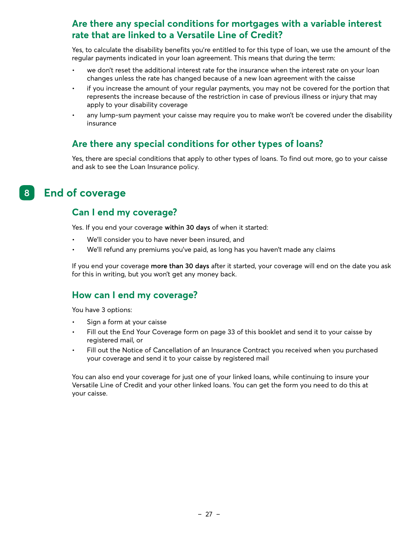### <span id="page-26-0"></span>**Are there any special conditions for mortgages with a variable interest rate that are linked to a Versatile Line of Credit?**

Yes, to calculate the disability benefits you're entitled to for this type of loan, we use the amount of the regular payments indicated in your loan agreement. This means that during the term:

- we don't reset the additional interest rate for the insurance when the interest rate on your loan changes unless the rate has changed because of a new loan agreement with the caisse
- if you increase the amount of your regular payments, you may not be covered for the portion that represents the increase because of the restriction in case of previous illness or injury that may apply to your disability coverage
- any lump-sum payment your caisse may require you to make won't be covered under the disability insurance

### **Are there any special conditions for other types of loans?**

Yes, there are special conditions that apply to other types of loans. To find out more, go to your caisse and ask to see the Loan Insurance policy.

#### **8. End of coverage 8**

### **Can I end my coverage?**

Yes. If you end your coverage **within 30 days** of when it started:

- We'll consider you to have never been insured, and
- We'll refund any premiums you've paid, as long has you haven't made any claims

If you end your coverage **more than 30 days** after it started, your coverage will end on the date you ask for this in writing, but you won't get any money back.

### **How can I end my coverage?**

You have 3 options:

- Sign a form at your caisse
- Fill out the End Your Coverage form on page 33 of this booklet and send it to your caisse by registered mail, or
- Fill out the Notice of Cancellation of an Insurance Contract you received when you purchased your coverage and send it to your caisse by registered mail

You can also end your coverage for just one of your linked loans, while continuing to insure your Versatile Line of Credit and your other linked loans. You can get the form you need to do this at your caisse.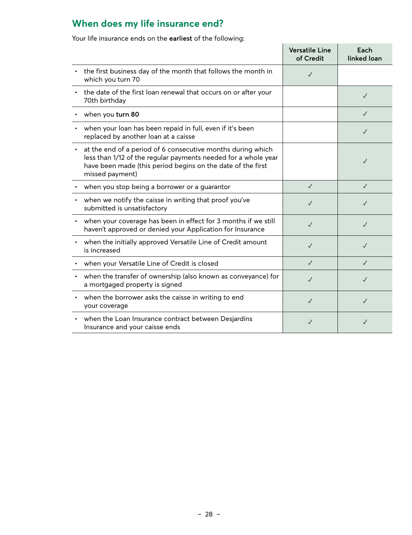### <span id="page-27-0"></span>**When does my life insurance end?**

Your life insurance ends on the **earliest** of the following:

|                                                                                                                                                                                                                 | <b>Versatile Line</b><br>of Credit | Each<br>linked loan |
|-----------------------------------------------------------------------------------------------------------------------------------------------------------------------------------------------------------------|------------------------------------|---------------------|
| the first business day of the month that follows the month in<br>which you turn 70                                                                                                                              | $\checkmark$                       |                     |
| the date of the first loan renewal that occurs on or after your<br>70th birthday                                                                                                                                |                                    | $\checkmark$        |
| when you turn 80                                                                                                                                                                                                |                                    | $\checkmark$        |
| when your loan has been repaid in full, even if it's been<br>replaced by another loan at a caisse                                                                                                               |                                    | $\checkmark$        |
| at the end of a period of 6 consecutive months during which<br>less than 1/12 of the regular payments needed for a whole year<br>have been made (this period begins on the date of the first<br>missed payment) |                                    | $\checkmark$        |
| when you stop being a borrower or a guarantor                                                                                                                                                                   | $\checkmark$                       | $\checkmark$        |
| when we notify the caisse in writing that proof you've<br>submitted is unsatisfactory                                                                                                                           | J                                  | J                   |
| when your coverage has been in effect for 3 months if we still<br>haven't approved or denied your Application for Insurance                                                                                     | J                                  | $\checkmark$        |
| when the initially approved Versatile Line of Credit amount<br>is increased                                                                                                                                     | J                                  | $\checkmark$        |
| when your Versatile Line of Credit is closed                                                                                                                                                                    | $\sqrt{2}$                         | $\checkmark$        |
| when the transfer of ownership (also known as conveyance) for<br>a mortgaged property is signed                                                                                                                 | J                                  | $\checkmark$        |
| when the borrower asks the caisse in writing to end<br>your coverage                                                                                                                                            | $\checkmark$                       | $\checkmark$        |
| when the Loan Insurance contract between Desjardins<br>Insurance and your caisse ends                                                                                                                           |                                    | J                   |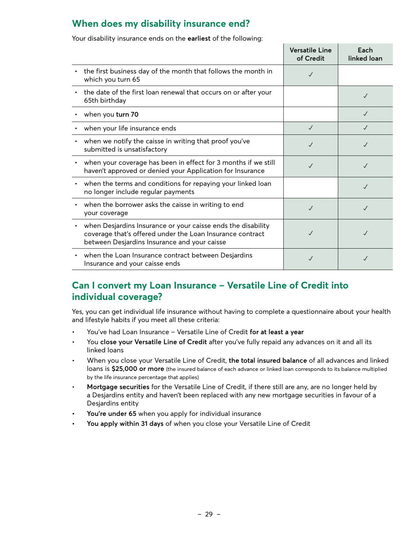### <span id="page-28-0"></span>**When does my disability insurance end?**

Your disability insurance ends on the **earliest** of the following:

|                                                                                                                                                                                | <b>Versatile Line</b><br>of Credit | Each<br>linked loan |
|--------------------------------------------------------------------------------------------------------------------------------------------------------------------------------|------------------------------------|---------------------|
| the first business day of the month that follows the month in<br>٠<br>which you turn 65                                                                                        | $\checkmark$                       |                     |
| the date of the first loan renewal that occurs on or after your<br>65th birthday                                                                                               |                                    |                     |
| when you turn 70                                                                                                                                                               |                                    | $\checkmark$        |
| when your life insurance ends                                                                                                                                                  | $\checkmark$                       | J                   |
| when we notify the caisse in writing that proof you've<br>submitted is unsatisfactory                                                                                          | $\checkmark$                       |                     |
| when your coverage has been in effect for 3 months if we still<br>haven't approved or denied your Application for Insurance                                                    | J                                  | J                   |
| when the terms and conditions for repaying your linked loan<br>٠<br>no longer include regular payments                                                                         |                                    | $\checkmark$        |
| when the borrower asks the caisse in writing to end<br>your coverage                                                                                                           | $\sqrt{}$                          | $\checkmark$        |
| when Desjardins Insurance or your caisse ends the disability<br>٠<br>coverage that's offered under the Loan Insurance contract<br>between Desjardins Insurance and your caisse |                                    |                     |
| when the Loan Insurance contract between Desjardins<br>Insurance and your caisse ends                                                                                          | J                                  |                     |

### **Can I convert my Loan Insurance – Versatile Line of Credit into individual coverage?**

Yes, you can get individual life insurance without having to complete a questionnaire about your health and lifestyle habits if you meet all these criteria:

- You've had Loan Insurance Versatile Line of Credit **for at least a year**
- You **close your Versatile Line of Credit** after you've fully repaid any advances on it and all its linked loans
- When you close your Versatile Line of Credit, **the total insured balance** of all advances and linked loans is **\$25,000 or more** (the insured balance of each advance or linked loan corresponds to its balance multiplied by the life insurance percentage that applies)
- **Mortgage securities** for the Versatile Line of Credit, if there still are any, are no longer held by a Desjardins entity and haven't been replaced with any new mortgage securities in favour of a Desjardins entity
- **• You're under 65** when you apply for individual insurance
- **• You apply within 31 days** of when you close your Versatile Line of Credit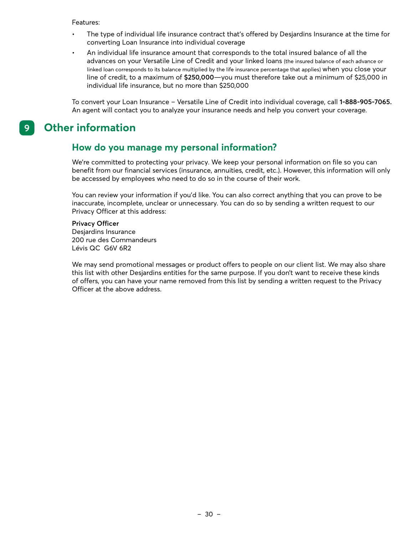- <span id="page-29-0"></span>• The type of individual life insurance contract that's offered by Desjardins Insurance at the time for converting Loan Insurance into individual coverage
- An individual life insurance amount that corresponds to the total insured balance of all the advances on your Versatile Line of Credit and your linked loans (the insured balance of each advance or linked loan corresponds to its balance multiplied by the life insurance percentage that applies) when you close your line of credit, to a maximum of **\$250,000**—you must therefore take out a minimum of \$25,000 in individual life insurance, but no more than \$250,000

To convert your Loan Insurance – Versatile Line of Credit into individual coverage, call **1-888-905-7065.**  An agent will contact you to analyze your insurance needs and help you convert your coverage.

#### **9. Other information 9**

### **How do you manage my personal information?**

We're committed to protecting your privacy. We keep your personal information on file so you can benefit from our financial services (insurance, annuities, credit, etc.). However, this information will only be accessed by employees who need to do so in the course of their work.

You can review your information if you'd like. You can also correct anything that you can prove to be inaccurate, incomplete, unclear or unnecessary. You can do so by sending a written request to our Privacy Officer at this address:

#### **Privacy Officer**

Desjardins Insurance 200 rue des Commandeurs Lévis QC G6V 6R2

We may send promotional messages or product offers to people on our client list. We may also share this list with other Desjardins entities for the same purpose. If you don't want to receive these kinds of offers, you can have your name removed from this list by sending a written request to the Privacy Officer at the above address.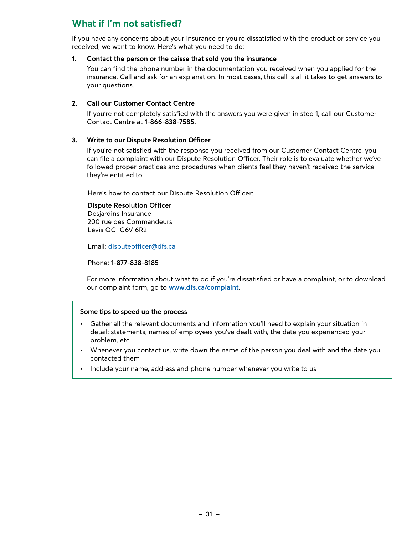### <span id="page-30-0"></span>**What if I'm not satisfied?**

If you have any concerns about your insurance or you're dissatisfied with the product or service you received, we want to know. Here's what you need to do:

#### **1. Contact the person or the caisse that sold you the insurance**

 You can find the phone number in the documentation you received when you applied for the insurance. Call and ask for an explanation. In most cases, this call is all it takes to get answers to your questions.

#### **2. Call our Customer Contact Centre**

 If you're not completely satisfied with the answers you were given in step 1, call our Customer Contact Centre at **1-866-838-7585.**

#### **3. Write to our Dispute Resolution Officer**

If you're not satisfied with the response you received from our Customer Contact Centre, you can file a complaint with our Dispute Resolution Officer. Their role is to evaluate whether we've followed proper practices and procedures when clients feel they haven't received the service they're entitled to.

Here's how to contact our Dispute Resolution Officer:

**Dispute Resolution Officer**

Desjardins Insurance 200 rue des Commandeurs Lévis QC G6V 6R2

Email: [disputeofficer@dfs.ca](mailto:disputeofficer@dfs.ca)

Phone: **1-877-838-8185**

For more information about what to do if you're dissatisfied or have a complaint, or to download our complaint form, go to **[www.dfs.ca/complaint.](http://www.dfs.ca/complaint)**

#### **Some tips to speed up the process**

- Gather all the relevant documents and information you'll need to explain your situation in detail: statements, names of employees you've dealt with, the date you experienced your problem, etc.
- Whenever you contact us, write down the name of the person you deal with and the date you contacted them
- Include your name, address and phone number whenever you write to us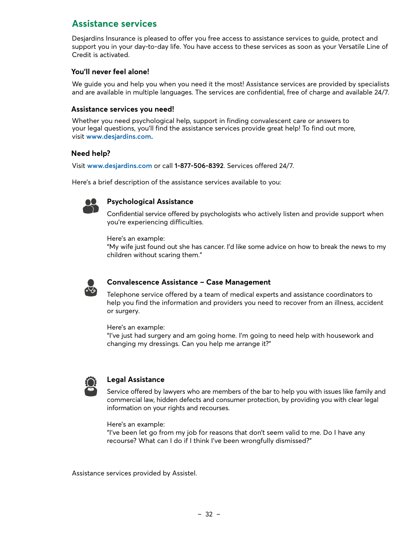### <span id="page-31-0"></span>**Assistance services**

Desjardins Insurance is pleased to offer you free access to assistance services to guide, protect and support you in your day-to-day life. You have access to these services as soon as your Versatile Line of Credit is activated.

#### **You'll never feel alone!**

We guide you and help you when you need it the most! Assistance services are provided by specialists and are available in multiple languages. The services are confidential, free of charge and available 24/7.

#### **Assistance services you need!**

Whether you need psychological help, support in finding convalescent care or answers to your legal questions, you'll find the assistance services provide great help! To find out more, visit **[www.desjardins.com](http://www.desjardins.com).**

#### **Need help?**

Visit **[www.desjardins.com](http://www.desjardins.com)** or call **1-877-506-8392**. Services offered 24/7.

Here's a brief description of the assistance services available to you:



#### **Psychological Assistance**

Confidential service offered by psychologists who actively listen and provide support when you're experiencing difficulties.

Here's an example:

"My wife just found out she has cancer. I'd like some advice on how to break the news to my children without scaring them."



#### **Convalescence Assistance – Case Management**

Telephone service offered by a team of medical experts and assistance coordinators to help you find the information and providers you need to recover from an illness, accident or surgery.

Here's an example:

"I've just had surgery and am going home. I'm going to need help with housework and changing my dressings. Can you help me arrange it?"



#### **Legal Assistance**

Service offered by lawyers who are members of the bar to help you with issues like family and commercial law, hidden defects and consumer protection, by providing you with clear legal information on your rights and recourses.

Here's an example:

"I've been let go from my job for reasons that don't seem valid to me. Do I have any recourse? What can I do if I think I've been wrongfully dismissed?"

Assistance services provided by Assistel.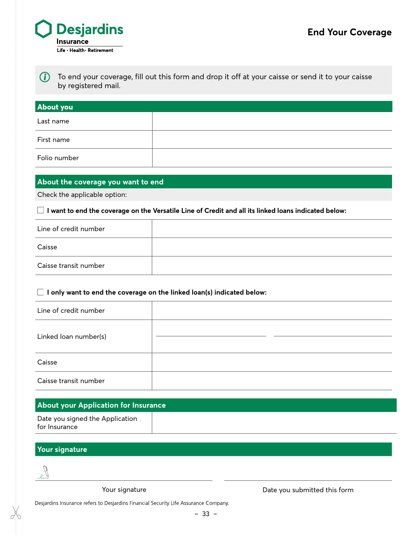

*i* To end your coverage, fill out this form and drop it off at your caisse or send it to your caisse by registered mail.

| <b>About you</b> |  |
|------------------|--|
| Last name        |  |
| First name       |  |
| Folio number     |  |

#### **About the coverage you want to end**

Check the applicable option:

 $\Box$  I want to end the coverage on the Versatile Line of Credit and all its linked loans indicated below:

| Line of credit number |  |
|-----------------------|--|
| Caisse                |  |
| Caisse transit number |  |

#### **I only want to end the coverage on the linked loan(s) indicated below:**

| Line of credit number |  |
|-----------------------|--|
| Linked loan number(s) |  |
| Caisse                |  |
| Caisse transit number |  |

### **About your Application for Insurance**

| Date you signed the Application |  |
|---------------------------------|--|
| for Insurance                   |  |

### **Your signature**



Your signature

Date you submitted this form

Desjardins Insurance refers to Desjardins Financial Security Life Assurance Company.